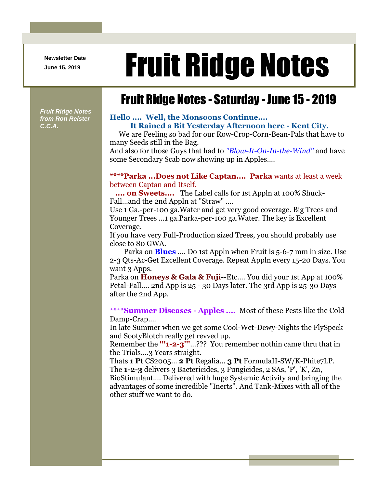**Newsletter Date**

# Newsletter Date **Fruit Ridge Notes**

## Fruit Ridge Notes - Saturday - June 15 - 2019

*Fruit Ridge Notes from Ron Reister C.C.A.*

### **Hello .... Well, the Monsoons Continue.... It Rained a Bit Yesterday Afternoon here - Kent City.**

We are Feeling so bad for our Row-Crop-Corn-Bean-Pals that have to many Seeds still in the Bag.

And also for those Guys that had to *''Blow-It-On-In-the-Wind''* and have some Secondary Scab now showing up in Apples....

#### **\*\*\*\*Parka ...Does not Like Captan.... Parka** wants at least a week between Captan and Itself.

**.... on Sweets....** The Label calls for 1st Appln at 100% Shuck-Fall...and the 2nd Appln at ''Straw'' ....

Use 1 Ga.-per-100 ga.Water and get very good coverage. Big Trees and Younger Trees ...1 ga.Parka-per-100 ga.Water. The key is Excellent Coverage.

If you have very Full-Production sized Trees, you should probably use close to 80 GWA.

Parka on **Blues** .... Do 1st Appln when Fruit is 5-6-7 mm in size. Use 2-3 Qts-Ac-Get Excellent Coverage. Repeat Appln every 15-20 Days. You want 3 Apps.

Parka on **Honeys & Gala & Fuji**--Etc.... You did your 1st App at 100% Petal-Fall.... 2nd App is 25 - 30 Days later. The 3rd App is 25-30 Days after the 2nd App.

**\*\*\*\*Summer Diseases - Apples ....** Most of these Pests like the Cold-Damp-Crap....

In late Summer when we get some Cool-Wet-Dewy-Nights the FlySpeck and SootyBlotch really get revved up.

Remember the **'''1-2-3'''**...??? You remember nothin came thru that in the Trials....3 Years straight.

Thats **1 Pt** CS2005... **2 Pt** Regalia... **3 Pt** FormulaII-SW/K-Phite7LP. The **1-2-3** delivers 3 Bactericides, 3 Fungicides, 2 SAs, 'P', 'K', Zn, BioStimulant.... Delivered with huge Systemic Activity and bringing the advantages of some incredible ''Inerts''. And Tank-Mixes with all of the other stuff we want to do.